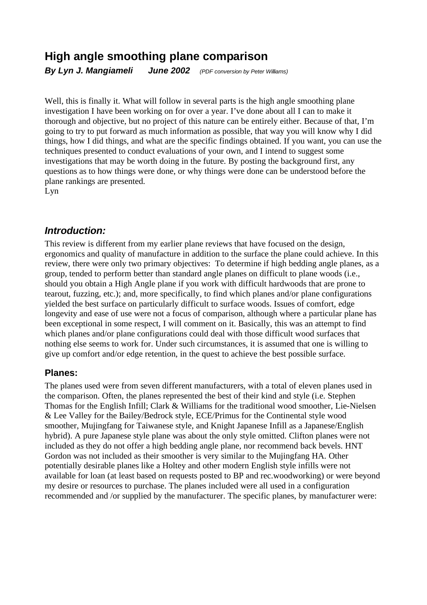# **High angle smoothing plane comparison**

**By Lyn J. Mangiameli June 2002** (PDF conversion by Peter Williams)

Well, this is finally it. What will follow in several parts is the high angle smoothing plane investigation I have been working on for over a year. I've done about all I can to make it thorough and objective, but no project of this nature can be entirely either. Because of that, I'm going to try to put forward as much information as possible, that way you will know why I did things, how I did things, and what are the specific findings obtained. If you want, you can use the techniques presented to conduct evaluations of your own, and I intend to suggest some investigations that may be worth doing in the future. By posting the background first, any questions as to how things were done, or why things were done can be understood before the plane rankings are presented.

Lyn

## **Introduction:**

This review is different from my earlier plane reviews that have focused on the design, ergonomics and quality of manufacture in addition to the surface the plane could achieve. In this review, there were only two primary objectives: To determine if high bedding angle planes, as a group, tended to perform better than standard angle planes on difficult to plane woods (i.e., should you obtain a High Angle plane if you work with difficult hardwoods that are prone to tearout, fuzzing, etc.); and, more specifically, to find which planes and/or plane configurations yielded the best surface on particularly difficult to surface woods. Issues of comfort, edge longevity and ease of use were not a focus of comparison, although where a particular plane has been exceptional in some respect, I will comment on it. Basically, this was an attempt to find which planes and/or plane configurations could deal with those difficult wood surfaces that nothing else seems to work for. Under such circumstances, it is assumed that one is willing to give up comfort and/or edge retention, in the quest to achieve the best possible surface.

### **Planes:**

The planes used were from seven different manufacturers, with a total of eleven planes used in the comparison. Often, the planes represented the best of their kind and style (i.e. Stephen Thomas for the English Infill; Clark & Williams for the traditional wood smoother, Lie-Nielsen & Lee Valley for the Bailey/Bedrock style, ECE/Primus for the Continental style wood smoother, Mujingfang for Taiwanese style, and Knight Japanese Infill as a Japanese/English hybrid). A pure Japanese style plane was about the only style omitted. Clifton planes were not included as they do not offer a high bedding angle plane, nor recommend back bevels. HNT Gordon was not included as their smoother is very similar to the Mujingfang HA. Other potentially desirable planes like a Holtey and other modern English style infills were not available for loan (at least based on requests posted to BP and rec.woodworking) or were beyond my desire or resources to purchase. The planes included were all used in a configuration recommended and /or supplied by the manufacturer. The specific planes, by manufacturer were: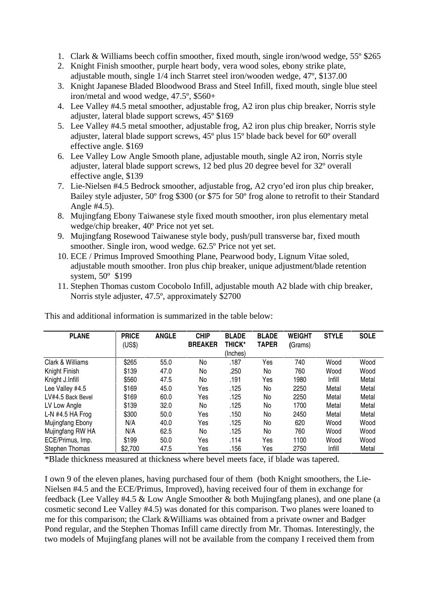- 1. Clark & Williams beech coffin smoother, fixed mouth, single iron/wood wedge, 55º \$265
- 2. Knight Finish smoother, purple heart body, vera wood soles, ebony strike plate, adjustable mouth, single 1/4 inch Starret steel iron/wooden wedge, 47º, \$137.00
- 3. Knight Japanese Bladed Bloodwood Brass and Steel Infill, fixed mouth, single blue steel iron/metal and wood wedge, 47.5º, \$560+
- 4. Lee Valley #4.5 metal smoother, adjustable frog, A2 iron plus chip breaker, Norris style adjuster, lateral blade support screws, 45º \$169
- 5. Lee Valley #4.5 metal smoother, adjustable frog, A2 iron plus chip breaker, Norris style adjuster, lateral blade support screws, 45º plus 15º blade back bevel for 60º overall effective angle. \$169
- 6. Lee Valley Low Angle Smooth plane, adjustable mouth, single A2 iron, Norris style adjuster, lateral blade support screws, 12 bed plus 20 degree bevel for 32º overall effective angle, \$139
- 7. Lie-Nielsen #4.5 Bedrock smoother, adjustable frog, A2 cryo' ed iron plus chip breaker, Bailey style adjuster, 50º frog \$300 (or \$75 for 50º frog alone to retrofit to their Standard Angle #4.5).
- 8. Mujingfang Ebony Taiwanese style fixed mouth smoother, iron plus elementary metal wedge/chip breaker, 40º Price not yet set.
- 9. Mujingfang Rosewood Taiwanese style body, push/pull transverse bar, fixed mouth smoother. Single iron, wood wedge. 62.5º Price not yet set.
- 10. ECE / Primus Improved Smoothing Plane, Pearwood body, Lignum Vitae soled, adjustable mouth smoother. Iron plus chip breaker, unique adjustment/blade retention system, 50º \$199
- 11. Stephen Thomas custom Cocobolo Infill, adjustable mouth A2 blade with chip breaker, Norris style adjuster, 47.5º, approximately \$2700

| <b>PLANE</b>          | <b>PRICE</b><br>(US\$) | <b>ANGLE</b> | <b>CHIP</b><br><b>BREAKER</b> | <b>BLADE</b><br><b>THICK*</b> | <b>BLADE</b><br><b>TAPER</b> | <b>WEIGHT</b><br>(Grams) | <b>STYLE</b> | <b>SOLE</b> |
|-----------------------|------------------------|--------------|-------------------------------|-------------------------------|------------------------------|--------------------------|--------------|-------------|
|                       |                        |              |                               | (Inches)                      |                              |                          |              |             |
| Clark & Williams      | \$265                  | 55.0         | No                            | .187                          | Yes                          | 740                      | Wood         | Wood        |
| Knight Finish         | \$139                  | 47.0         | No                            | .250                          | No                           | 760                      | Wood         | Wood        |
| Knight J.Infill       | \$560                  | 47.5         | No                            | .191                          | Yes                          | 1980                     | Infill       | Metal       |
| Lee Valley #4.5       | \$169                  | 45.0         | Yes                           | .125                          | No                           | 2250                     | Metal        | Metal       |
| LV#4.5 Back Bevel     | \$169                  | 60.0         | Yes                           | .125                          | No                           | 2250                     | Metal        | Metal       |
| LV Low Angle          | \$139                  | 32.0         | No                            | .125                          | No                           | 1700                     | Metal        | Metal       |
| L-N $#4.5$ HA Frog    | \$300                  | 50.0         | Yes                           | .150                          | No                           | 2450                     | Metal        | Metal       |
| Mujingfang Ebony      | N/A                    | 40.0         | Yes                           | .125                          | No                           | 620                      | Wood         | Wood        |
| Mujingfang RW HA      | N/A                    | 62.5         | No                            | .125                          | No                           | 760                      | Wood         | Wood        |
| ECE/Primus, Imp.      | \$199                  | 50.0         | Yes                           | .114                          | Yes                          | 1100                     | Wood         | Wood        |
| <b>Stephen Thomas</b> | \$2,700                | 47.5         | Yes                           | .156                          | Yes                          | 2750                     | Infill       | Metal       |

This and additional information is summarized in the table below:

\*Blade thickness measured at thickness where bevel meets face, if blade was tapered.

I own 9 of the eleven planes, having purchased four of them (both Knight smoothers, the Lie-Nielsen #4.5 and the ECE/Primus, Improved), having received four of them in exchange for feedback (Lee Valley #4.5 & Low Angle Smoother & both Mujingfang planes), and one plane (a cosmetic second Lee Valley #4.5) was donated for this comparison. Two planes were loaned to me for this comparison; the Clark &Williams was obtained from a private owner and Badger Pond regular, and the Stephen Thomas Infill came directly from Mr. Thomas. Interestingly, the two models of Mujingfang planes will not be available from the company I received them from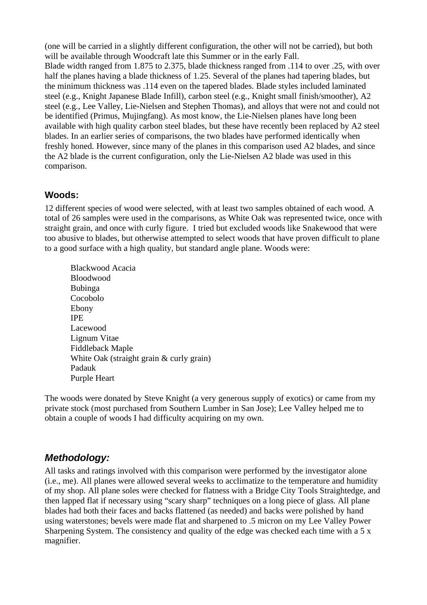(one will be carried in a slightly different configuration, the other will not be carried), but both will be available through Woodcraft late this Summer or in the early Fall. Blade width ranged from 1.875 to 2.375, blade thickness ranged from .114 to over .25, with over half the planes having a blade thickness of 1.25. Several of the planes had tapering blades, but the minimum thickness was .114 even on the tapered blades. Blade styles included laminated steel (e.g., Knight Japanese Blade Infill), carbon steel (e.g., Knight small finish/smoother), A2 steel (e.g., Lee Valley, Lie-Nielsen and Stephen Thomas), and alloys that were not and could not be identified (Primus, Mujingfang). As most know, the Lie-Nielsen planes have long been available with high quality carbon steel blades, but these have recently been replaced by A2 steel blades. In an earlier series of comparisons, the two blades have performed identically when freshly honed. However, since many of the planes in this comparison used A2 blades, and since the A2 blade is the current configuration, only the Lie-Nielsen A2 blade was used in this comparison.

### **Woods:**

12 different species of wood were selected, with at least two samples obtained of each wood. A total of 26 samples were used in the comparisons, as White Oak was represented twice, once with straight grain, and once with curly figure. I tried but excluded woods like Snakewood that were too abusive to blades, but otherwise attempted to select woods that have proven difficult to plane to a good surface with a high quality, but standard angle plane. Woods were:

Blackwood Acacia Bloodwood Bubinga Cocobolo Ebony IPE Lacewood Lignum Vitae Fiddleback Maple White Oak (straight grain & curly grain) Padauk Purple Heart

The woods were donated by Steve Knight (a very generous supply of exotics) or came from my private stock (most purchased from Southern Lumber in San Jose); Lee Valley helped me to obtain a couple of woods I had difficulty acquiring on my own.

### **Methodology:**

All tasks and ratings involved with this comparison were performed by the investigator alone (i.e., me). All planes were allowed several weeks to acclimatize to the temperature and humidity of my shop. All plane soles were checked for flatness with a Bridge City Tools Straightedge, and then lapped flat if necessary using "scary sharp" techniques on a long piece of glass. All plane blades had both their faces and backs flattened (as needed) and backs were polished by hand using waterstones; bevels were made flat and sharpened to .5 micron on my Lee Valley Power Sharpening System. The consistency and quality of the edge was checked each time with a 5 x magnifier.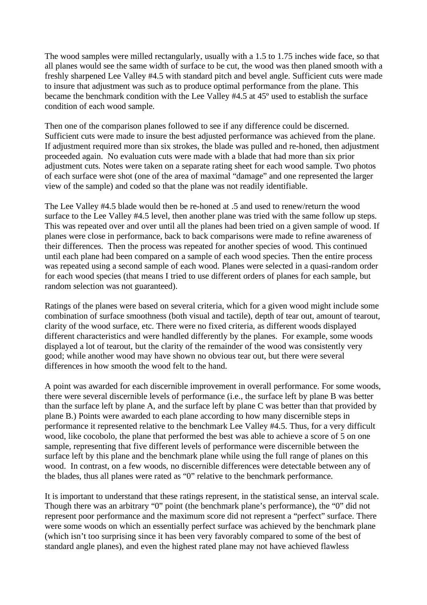The wood samples were milled rectangularly, usually with a 1.5 to 1.75 inches wide face, so that all planes would see the same width of surface to be cut, the wood was then planed smooth with a freshly sharpened Lee Valley #4.5 with standard pitch and bevel angle. Sufficient cuts were made to insure that adjustment was such as to produce optimal performance from the plane. This became the benchmark condition with the Lee Valley #4.5 at 45º used to establish the surface condition of each wood sample.

Then one of the comparison planes followed to see if any difference could be discerned. Sufficient cuts were made to insure the best adjusted performance was achieved from the plane. If adjustment required more than six strokes, the blade was pulled and re-honed, then adjustment proceeded again. No evaluation cuts were made with a blade that had more than six prior adjustment cuts. Notes were taken on a separate rating sheet for each wood sample. Two photos of each surface were shot (one of the area of maximal "damage" and one represented the larger view of the sample) and coded so that the plane was not readily identifiable.

The Lee Valley #4.5 blade would then be re-honed at .5 and used to renew/return the wood surface to the Lee Valley #4.5 level, then another plane was tried with the same follow up steps. This was repeated over and over until all the planes had been tried on a given sample of wood. If planes were close in performance, back to back comparisons were made to refine awareness of their differences. Then the process was repeated for another species of wood. This continued until each plane had been compared on a sample of each wood species. Then the entire process was repeated using a second sample of each wood. Planes were selected in a quasi-random order for each wood species (that means I tried to use different orders of planes for each sample, but random selection was not guaranteed).

Ratings of the planes were based on several criteria, which for a given wood might include some combination of surface smoothness (both visual and tactile), depth of tear out, amount of tearout, clarity of the wood surface, etc. There were no fixed criteria, as different woods displayed different characteristics and were handled differently by the planes. For example, some woods displayed a lot of tearout, but the clarity of the remainder of the wood was consistently very good; while another wood may have shown no obvious tear out, but there were several differences in how smooth the wood felt to the hand.

A point was awarded for each discernible improvement in overall performance. For some woods, there were several discernible levels of performance (i.e., the surface left by plane B was better than the surface left by plane A, and the surface left by plane C was better than that provided by plane B.) Points were awarded to each plane according to how many discernible steps in performance it represented relative to the benchmark Lee Valley #4.5. Thus, for a very difficult wood, like cocobolo, the plane that performed the best was able to achieve a score of 5 on one sample, representing that five different levels of performance were discernible between the surface left by this plane and the benchmark plane while using the full range of planes on this wood. In contrast, on a few woods, no discernible differences were detectable between any of the blades, thus all planes were rated as "0" relative to the benchmark performance.

It is important to understand that these ratings represent, in the statistical sense, an interval scale. Though there was an arbitrary "0" point (the benchmark plane's performance), the "0" did not represent poor performance and the maximum score did not represent a "perfect" surface. There were some woods on which an essentially perfect surface was achieved by the benchmark plane (which isn't too surprising since it has been very favorably compared to some of the best of standard angle planes), and even the highest rated plane may not have achieved flawless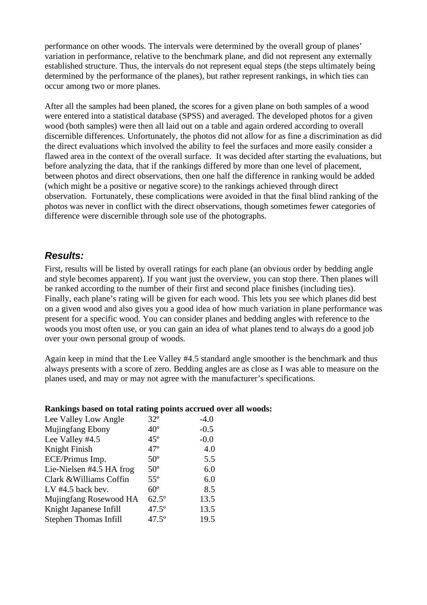performance on other woods. The intervals were determined by the overall group of planes' variation in performance, relative to the benchmark plane, and did not represent any externally established structure. Thus, the intervals do not represent equal steps (the steps ultimately being determined by the performance of the planes), but rather represent rankings, in which ties can occur among two or more planes.

After all the samples had been planed, the scores for a given plane on both samples of a wood were entered into a statistical database (SPSS) and averaged. The developed photos for a given wood (both samples) were then all laid out on a table and again ordered according to overall discernible differences. Unfortunately, the photos did not allow for as fine a discrimination as did the direct evaluations which involved the ability to feel the surfaces and more easily consider a flawed area in the context of the overall surface. It was decided after starting the evaluations, but before analyzing the data, that if the rankings differed by more than one level of placement, between photos and direct observations, then one half the difference in ranking would be added (which might be a positive or negative score) to the rankings achieved through direct observation. Fortunately, these complications were avoided in that the final blind ranking of the photos was never in conflict with the direct observations, though sometimes fewer categories of difference were discernible through sole use of the photographs.

### **Results:**

First, results will be listed by overall ratings for each plane (an obvious order by bedding angle and style becomes apparent). If you want just the overview, you can stop there. Then planes will be ranked according to the number of their first and second place finishes (including ties). Finally, each plane's rating will be given for each wood. This lets you see which planes did best on a given wood and also gives you a good idea of how much variation in plane performance was present for a specific wood. You can consider planes and bedding angles with reference to the woods you most often use, or you can gain an idea of what planes tend to always do a good job over your own personal group of woods.

Again keep in mind that the Lee Valley #4.5 standard angle smoother is the benchmark and thus always presents with a score of zero. Bedding angles are as close as I was able to measure on the planes used, and may or may not agree with the manufacturer's specifications.

| <b>Rammigo based on total rating points accrued</b> |                |        |
|-----------------------------------------------------|----------------|--------|
| Lee Valley Low Angle                                | $32^{\circ}$   | $-4.0$ |
| Mujingfang Ebony                                    | $40^{\circ}$   | $-0.5$ |
| Lee Valley #4.5                                     | $45^\circ$     | $-0.0$ |
| Knight Finish                                       | $47^\circ$     | 4.0    |
| ECE/Primus Imp.                                     | $50^\circ$     | 5.5    |
| Lie-Nielsen #4.5 HA frog                            | $50^\circ$     | 6.0    |
| Clark & Williams Coffin                             | $55^{\circ}$   | 6.0    |
| LV $#4.5$ back bev.                                 | $60^\circ$     | 8.5    |
| Mujingfang Rosewood HA                              | $62.5^\circ$   | 13.5   |
| Knight Japanese Infill                              | $47.5^{\circ}$ | 13.5   |
| Stephen Thomas Infill                               | $47.5^{\circ}$ | 19.5   |

#### **Rankings based on total rating points accrued over all woods:**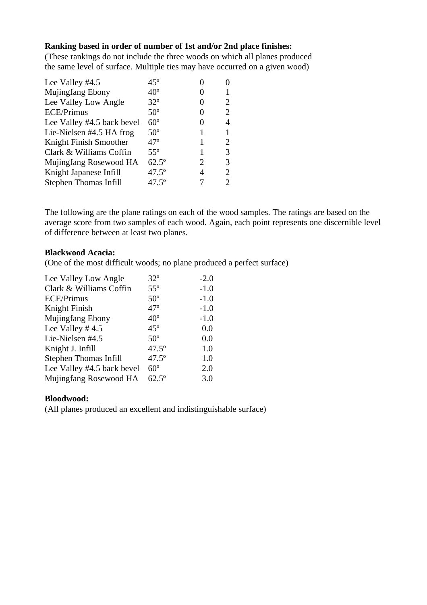#### **Ranking based in order of number of 1st and/or 2nd place finishes:**

(These rankings do not include the three woods on which all planes produced the same level of surface. Multiple ties may have occurred on a given wood)

| Lee Valley #4.5              | 45°            |                   |   |
|------------------------------|----------------|-------------------|---|
| Mujingfang Ebony             | $40^{\circ}$   |                   |   |
| Lee Valley Low Angle         | $32^{\circ}$   | $\mathbf{\Omega}$ |   |
| <b>ECE/Primus</b>            | $50^\circ$     |                   |   |
| Lee Valley #4.5 back bevel   | $60^\circ$     |                   |   |
| Lie-Nielsen #4.5 HA frog     | $50^\circ$     |                   |   |
| Knight Finish Smoother       | $47^{\circ}$   |                   |   |
| Clark & Williams Coffin      | $55^{\circ}$   |                   | 3 |
| Mujingfang Rosewood HA       | $62.5^{\circ}$ | 2                 | 3 |
| Knight Japanese Infill       | $47.5^{\circ}$ | 4                 |   |
| <b>Stephen Thomas Infill</b> | $47.5^{\circ}$ |                   |   |
|                              |                |                   |   |

The following are the plane ratings on each of the wood samples. The ratings are based on the average score from two samples of each wood. Again, each point represents one discernible level of difference between at least two planes.

#### **Blackwood Acacia:**

(One of the most difficult woods; no plane produced a perfect surface)

| Lee Valley Low Angle         | $32^{\circ}$   | $-2.0$ |
|------------------------------|----------------|--------|
| Clark & Williams Coffin      | $55^{\circ}$   | $-1.0$ |
| <b>ECE/Primus</b>            | $50^{\circ}$   | $-1.0$ |
| Knight Finish                | $47^\circ$     | $-1.0$ |
| Mujingfang Ebony             | $40^{\circ}$   | $-1.0$ |
| Lee Valley $#4.5$            | $45^\circ$     | 0.0    |
| Lie-Nielsen #4.5             | $50^\circ$     | 0.0    |
| Knight J. Infill             | $47.5^{\circ}$ | 1.0    |
| <b>Stephen Thomas Infill</b> | $47.5^{\circ}$ | 1.0    |
| Lee Valley #4.5 back bevel   | $60^\circ$     | 2.0    |
| Mujingfang Rosewood HA       | $62.5^{\circ}$ | 3.0    |
|                              |                |        |

#### **Bloodwood:**

(All planes produced an excellent and indistinguishable surface)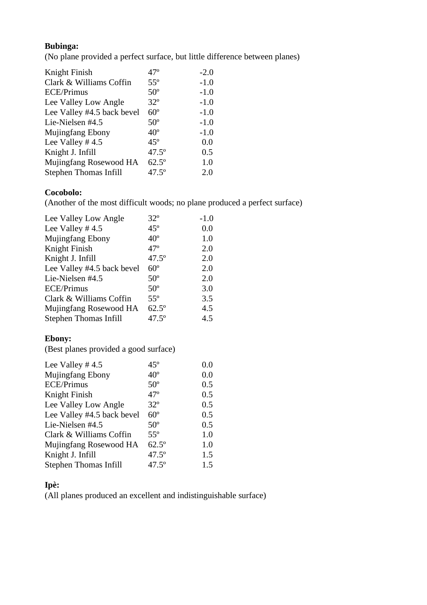### **Bubinga:**

(No plane provided a perfect surface, but little difference between planes)

| Knight Finish              | $47^{\circ}$   | $-2.0$ |
|----------------------------|----------------|--------|
| Clark & Williams Coffin    | $55^{\circ}$   | $-1.0$ |
| <b>ECE/Primus</b>          | $50^\circ$     | $-1.0$ |
| Lee Valley Low Angle       | $32^{\circ}$   | $-1.0$ |
| Lee Valley #4.5 back bevel | $60^\circ$     | $-1.0$ |
| Lie-Nielsen #4.5           | $50^\circ$     | $-1.0$ |
| <b>Mujingfang Ebony</b>    | $40^{\circ}$   | $-1.0$ |
| Lee Valley $#4.5$          | $45^{\circ}$   | 0.0    |
| Knight J. Infill           | $47.5^{\circ}$ | 0.5    |
| Mujingfang Rosewood HA     | $62.5^{\circ}$ | 1.0    |
| Stephen Thomas Infill      | $47.5^{\circ}$ | 2.0    |

#### **Cocobolo:**

(Another of the most difficult woods; no plane produced a perfect surface)

| Lee Valley Low Angle         | $32^{\circ}$   | $-1.0$ |
|------------------------------|----------------|--------|
| Lee Valley $#4.5$            | $45^\circ$     | 0.0    |
| Mujingfang Ebony             | $40^{\circ}$   | 1.0    |
| Knight Finish                | $47^\circ$     | 2.0    |
| Knight J. Infill             | $47.5^{\circ}$ | 2.0    |
| Lee Valley #4.5 back bevel   | $60^\circ$     | 2.0    |
| Lie-Nielsen #4.5             | $50^\circ$     | 2.0    |
| <b>ECE/Primus</b>            | $50^\circ$     | 3.0    |
| Clark & Williams Coffin      | $55^{\circ}$   | 3.5    |
| Mujingfang Rosewood HA       | $62.5^\circ$   | 4.5    |
| <b>Stephen Thomas Infill</b> | $47.5^{\circ}$ | 4.5    |

### **Ebony:**

(Best planes provided a good surface)

| $45^\circ$     | $0.0\,$ |
|----------------|---------|
| $40^{\circ}$   | 0.0     |
| $50^\circ$     | 0.5     |
| $47^\circ$     | 0.5     |
| $32^{\circ}$   | 0.5     |
| $60^\circ$     | 0.5     |
| $50^\circ$     | 0.5     |
| $55^{\circ}$   | 1.0     |
| $62.5^{\circ}$ | 1.0     |
| $47.5^{\circ}$ | 1.5     |
| $47.5^{\circ}$ | 1.5     |
|                |         |

## **Ipè:**

(All planes produced an excellent and indistinguishable surface)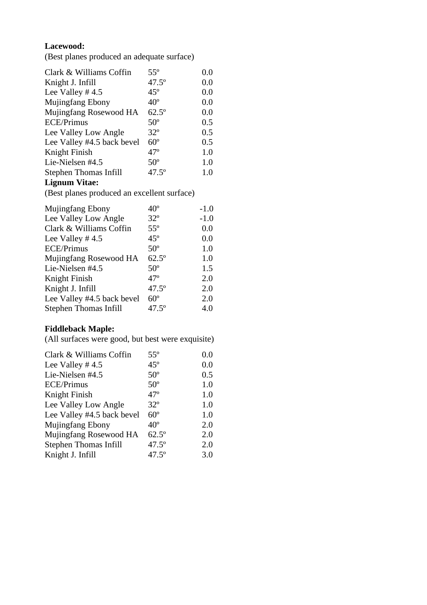## **Lacewood:**

(Best planes produced an adequate surface)

| Clark & Williams Coffin    | $55^{\circ}$   | $0.0\,$ |
|----------------------------|----------------|---------|
| Knight J. Infill           | $47.5^{\circ}$ | 0.0     |
| Lee Valley #4.5            | $45^\circ$     | 0.0     |
| Mujingfang Ebony           | $40^{\circ}$   | 0.0     |
| Mujingfang Rosewood HA     | $62.5^{\circ}$ | 0.0     |
| <b>ECE/Primus</b>          | $50^\circ$     | 0.5     |
| Lee Valley Low Angle       | $32^{\circ}$   | 0.5     |
| Lee Valley #4.5 back bevel | $60^\circ$     | 0.5     |
| Knight Finish              | $47^\circ$     | 1.0     |
| Lie-Nielsen #4.5           | $50^{\circ}$   | 1.0     |
| Stephen Thomas Infill      | $47.5^{\circ}$ | $1.0\,$ |
|                            |                |         |

#### **Lignum Vitae:**

(Best planes produced an excellent surface)

| Mujingfang Ebony           | $40^{\circ}$   | $-1.0$ |
|----------------------------|----------------|--------|
| Lee Valley Low Angle       | $32^{\circ}$   | $-1.0$ |
| Clark & Williams Coffin    | $55^{\circ}$   | 0.0    |
| Lee Valley $#4.5$          | $45^\circ$     | 0.0    |
| ECE/Primus                 | $50^\circ$     | 1.0    |
| Mujingfang Rosewood HA     | $62.5^{\circ}$ | 1.0    |
| Lie-Nielsen #4.5           | $50^\circ$     | 1.5    |
| Knight Finish              | $47^\circ$     | 2.0    |
| Knight J. Infill           | $47.5^{\circ}$ | 2.0    |
| Lee Valley #4.5 back bevel | $60^\circ$     | 2.0    |
| Stephen Thomas Infill      | $47.5^{\circ}$ | 4.0    |

## **Fiddleback Maple:**

(All surfaces were good, but best were exquisite)

| Clark & Williams Coffin    | $55^{\circ}$   | 0.0 |
|----------------------------|----------------|-----|
| Lee Valley $#4.5$          | $45^\circ$     | 0.0 |
| Lie-Nielsen #4.5           | $50^\circ$     | 0.5 |
| <b>ECE/Primus</b>          | $50^{\circ}$   | 1.0 |
| Knight Finish              | $47^\circ$     | 1.0 |
| Lee Valley Low Angle       | $32^{\circ}$   | 1.0 |
| Lee Valley #4.5 back bevel | $60^{\circ}$   | 1.0 |
| <b>Mujingfang Ebony</b>    | $40^{\circ}$   | 2.0 |
| Mujingfang Rosewood HA     | $62.5^\circ$   | 2.0 |
| Stephen Thomas Infill      | $47.5^{\circ}$ | 2.0 |
| Knight J. Infill           | $47.5^{\circ}$ | 3.0 |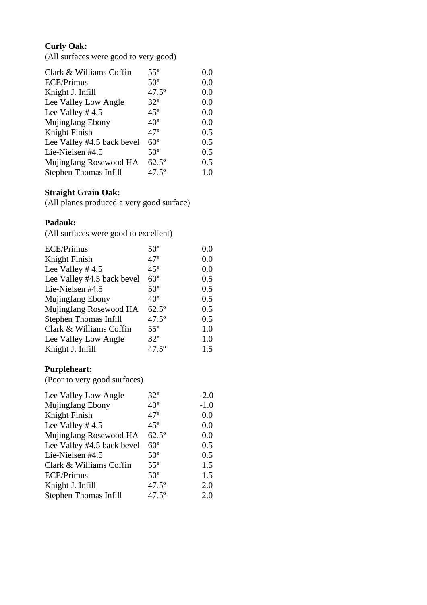## **Curly Oak:**

(All surfaces were good to very good)

| $55^{\circ}$   | 0.0 |
|----------------|-----|
| $50^\circ$     | 0.0 |
| $47.5^{\circ}$ | 0.0 |
| $32^{\circ}$   | 0.0 |
| $45^\circ$     | 0.0 |
| $40^{\circ}$   | 0.0 |
| $47^\circ$     | 0.5 |
| $60^\circ$     | 0.5 |
| $50^\circ$     | 0.5 |
| $62.5^{\circ}$ | 0.5 |
| $47.5^{\circ}$ | 1.0 |
|                |     |

### **Straight Grain Oak:**

(All planes produced a very good surface)

### **Padauk:**

(All surfaces were good to excellent)

| $50^{\circ}$   | 0.0 |
|----------------|-----|
| $47^\circ$     | 0.0 |
| $45^\circ$     | 0.0 |
| $60^\circ$     | 0.5 |
| $50^\circ$     | 0.5 |
| $40^{\circ}$   | 0.5 |
| $62.5^\circ$   | 0.5 |
| $47.5^{\circ}$ | 0.5 |
| $55^{\circ}$   | 1.0 |
| $32^{\circ}$   | 1.0 |
| $47.5^{\circ}$ | 1.5 |
|                |     |

### **Purpleheart:**

(Poor to very good surfaces)

| Lee Valley Low Angle       | $32^{\circ}$   | $-2.0$ |
|----------------------------|----------------|--------|
| <b>Mujingfang Ebony</b>    | $40^{\circ}$   | $-1.0$ |
| Knight Finish              | $47^\circ$     | 0.0    |
| Lee Valley $#4.5$          | $45^\circ$     | 0.0    |
| Mujingfang Rosewood HA     | $62.5^{\circ}$ | 0.0    |
| Lee Valley #4.5 back bevel | $60^\circ$     | 0.5    |
| Lie-Nielsen #4.5           | $50^\circ$     | 0.5    |
| Clark & Williams Coffin    | $55^{\circ}$   | 1.5    |
| <b>ECE/Primus</b>          | $50^{\circ}$   | 1.5    |
| Knight J. Infill           | $47.5^{\circ}$ | 2.0    |
| Stephen Thomas Infill      | $47.5^{\circ}$ | 2.0    |
|                            |                |        |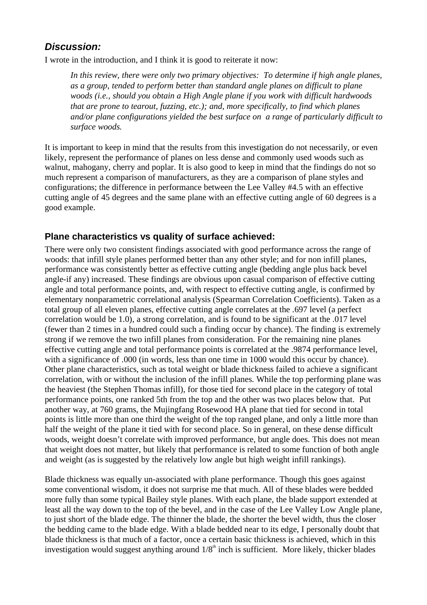## **Discussion:**

I wrote in the introduction, and I think it is good to reiterate it now:

*In this review, there were only two primary objectives: To determine if high angle planes, as a group, tended to perform better than standard angle planes on difficult to plane woods (i.e., should you obtain a High Angle plane if you work with difficult hardwoods that are prone to tearout, fuzzing, etc.); and, more specifically, to find which planes and/or plane configurations yielded the best surface on a range of particularly difficult to surface woods.*

It is important to keep in mind that the results from this investigation do not necessarily, or even likely, represent the performance of planes on less dense and commonly used woods such as walnut, mahogany, cherry and poplar. It is also good to keep in mind that the findings do not so much represent a comparison of manufacturers, as they are a comparison of plane styles and configurations; the difference in performance between the Lee Valley #4.5 with an effective cutting angle of 45 degrees and the same plane with an effective cutting angle of 60 degrees is a good example.

### **Plane characteristics vs quality of surface achieved:**

There were only two consistent findings associated with good performance across the range of woods: that infill style planes performed better than any other style; and for non infill planes, performance was consistently better as effective cutting angle (bedding angle plus back bevel angle-if any) increased. These findings are obvious upon casual comparison of effective cutting angle and total performance points, and, with respect to effective cutting angle, is confirmed by elementary nonparametric correlational analysis (Spearman Correlation Coefficients). Taken as a total group of all eleven planes, effective cutting angle correlates at the .697 level (a perfect correlation would be 1.0), a strong correlation, and is found to be significant at the .017 level (fewer than 2 times in a hundred could such a finding occur by chance). The finding is extremely strong if we remove the two infill planes from consideration. For the remaining nine planes effective cutting angle and total performance points is correlated at the .9874 performance level, with a significance of .000 (in words, less than one time in 1000 would this occur by chance). Other plane characteristics, such as total weight or blade thickness failed to achieve a significant correlation, with or without the inclusion of the infill planes. While the top performing plane was the heaviest (the Stephen Thomas infill), for those tied for second place in the category of total performance points, one ranked 5th from the top and the other was two places below that. Put another way, at 760 grams, the Mujingfang Rosewood HA plane that tied for second in total points is little more than one third the weight of the top ranged plane, and only a little more than half the weight of the plane it tied with for second place. So in general, on these dense difficult woods, weight doesn't correlate with improved performance, but angle does. This does not mean that weight does not matter, but likely that performance is related to some function of both angle and weight (as is suggested by the relatively low angle but high weight infill rankings).

Blade thickness was equally un-associated with plane performance. Though this goes against some conventional wisdom, it does not surprise me that much. All of these blades were bedded more fully than some typical Bailey style planes. With each plane, the blade support extended at least all the way down to the top of the bevel, and in the case of the Lee Valley Low Angle plane, to just short of the blade edge. The thinner the blade, the shorter the bevel width, thus the closer the bedding came to the blade edge. With a blade bedded near to its edge, I personally doubt that blade thickness is that much of a factor, once a certain basic thickness is achieved, which in this investigation would suggest anything around  $1/8<sup>th</sup>$  inch is sufficient. More likely, thicker blades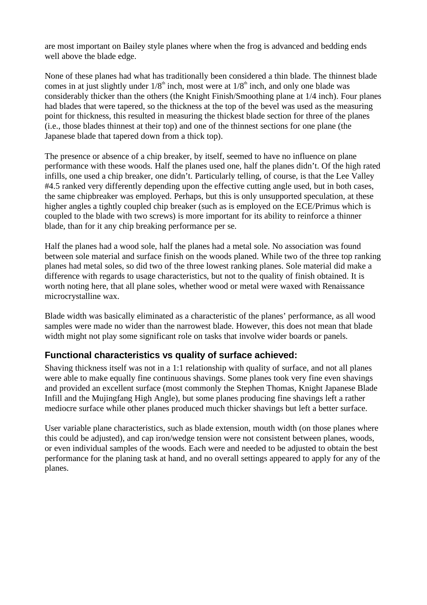are most important on Bailey style planes where when the frog is advanced and bedding ends well above the blade edge.

None of these planes had what has traditionally been considered a thin blade. The thinnest blade comes in at just slightly under  $1/8<sup>th</sup>$  inch, most were at  $1/8<sup>th</sup>$  inch, and only one blade was considerably thicker than the others (the Knight Finish/Smoothing plane at 1/4 inch). Four planes had blades that were tapered, so the thickness at the top of the bevel was used as the measuring point for thickness, this resulted in measuring the thickest blade section for three of the planes (i.e., those blades thinnest at their top) and one of the thinnest sections for one plane (the Japanese blade that tapered down from a thick top).

The presence or absence of a chip breaker, by itself, seemed to have no influence on plane performance with these woods. Half the planes used one, half the planes didn' t. Of the high rated infills, one used a chip breaker, one didn't. Particularly telling, of course, is that the Lee Valley #4.5 ranked very differently depending upon the effective cutting angle used, but in both cases, the same chipbreaker was employed. Perhaps, but this is only unsupported speculation, at these higher angles a tightly coupled chip breaker (such as is employed on the ECE/Primus which is coupled to the blade with two screws) is more important for its ability to reinforce a thinner blade, than for it any chip breaking performance per se.

Half the planes had a wood sole, half the planes had a metal sole. No association was found between sole material and surface finish on the woods planed. While two of the three top ranking planes had metal soles, so did two of the three lowest ranking planes. Sole material did make a difference with regards to usage characteristics, but not to the quality of finish obtained. It is worth noting here, that all plane soles, whether wood or metal were waxed with Renaissance microcrystalline wax.

Blade width was basically eliminated as a characteristic of the planes' performance, as all wood samples were made no wider than the narrowest blade. However, this does not mean that blade width might not play some significant role on tasks that involve wider boards or panels.

### **Functional characteristics vs quality of surface achieved:**

Shaving thickness itself was not in a 1:1 relationship with quality of surface, and not all planes were able to make equally fine continuous shavings. Some planes took very fine even shavings and provided an excellent surface (most commonly the Stephen Thomas, Knight Japanese Blade Infill and the Mujingfang High Angle), but some planes producing fine shavings left a rather mediocre surface while other planes produced much thicker shavings but left a better surface.

User variable plane characteristics, such as blade extension, mouth width (on those planes where this could be adjusted), and cap iron/wedge tension were not consistent between planes, woods, or even individual samples of the woods. Each were and needed to be adjusted to obtain the best performance for the planing task at hand, and no overall settings appeared to apply for any of the planes.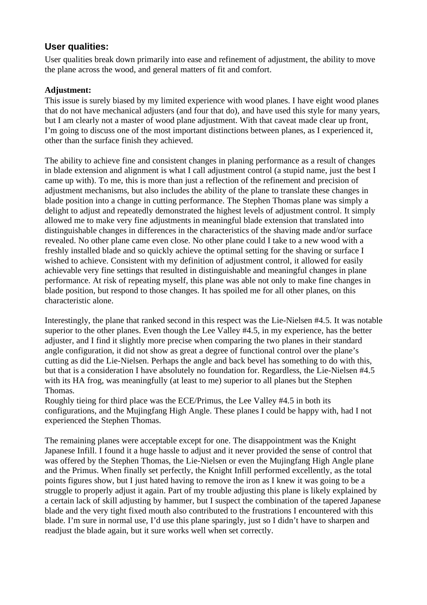### **User qualities:**

User qualities break down primarily into ease and refinement of adjustment, the ability to move the plane across the wood, and general matters of fit and comfort.

### **Adjustment:**

This issue is surely biased by my limited experience with wood planes. I have eight wood planes that do not have mechanical adjusters (and four that do), and have used this style for many years, but I am clearly not a master of wood plane adjustment. With that caveat made clear up front, I'm going to discuss one of the most important distinctions between planes, as I experienced it, other than the surface finish they achieved.

The ability to achieve fine and consistent changes in planing performance as a result of changes in blade extension and alignment is what I call adjustment control (a stupid name, just the best I came up with). To me, this is more than just a reflection of the refinement and precision of adjustment mechanisms, but also includes the ability of the plane to translate these changes in blade position into a change in cutting performance. The Stephen Thomas plane was simply a delight to adjust and repeatedly demonstrated the highest levels of adjustment control. It simply allowed me to make very fine adjustments in meaningful blade extension that translated into distinguishable changes in differences in the characteristics of the shaving made and/or surface revealed. No other plane came even close. No other plane could I take to a new wood with a freshly installed blade and so quickly achieve the optimal setting for the shaving or surface I wished to achieve. Consistent with my definition of adjustment control, it allowed for easily achievable very fine settings that resulted in distinguishable and meaningful changes in plane performance. At risk of repeating myself, this plane was able not only to make fine changes in blade position, but respond to those changes. It has spoiled me for all other planes, on this characteristic alone.

Interestingly, the plane that ranked second in this respect was the Lie-Nielsen #4.5. It was notable superior to the other planes. Even though the Lee Valley #4.5, in my experience, has the better adjuster, and I find it slightly more precise when comparing the two planes in their standard angle configuration, it did not show as great a degree of functional control over the plane's cutting as did the Lie-Nielsen. Perhaps the angle and back bevel has something to do with this, but that is a consideration I have absolutely no foundation for. Regardless, the Lie-Nielsen #4.5 with its HA frog, was meaningfully (at least to me) superior to all planes but the Stephen Thomas.

Roughly tieing for third place was the ECE/Primus, the Lee Valley #4.5 in both its configurations, and the Mujingfang High Angle. These planes I could be happy with, had I not experienced the Stephen Thomas.

The remaining planes were acceptable except for one. The disappointment was the Knight Japanese Infill. I found it a huge hassle to adjust and it never provided the sense of control that was offered by the Stephen Thomas, the Lie-Nielsen or even the Mujingfang High Angle plane and the Primus. When finally set perfectly, the Knight Infill performed excellently, as the total points figures show, but I just hated having to remove the iron as I knew it was going to be a struggle to properly adjust it again. Part of my trouble adjusting this plane is likely explained by a certain lack of skill adjusting by hammer, but I suspect the combination of the tapered Japanese blade and the very tight fixed mouth also contributed to the frustrations I encountered with this blade. I'm sure in normal use, I'd use this plane sparingly, just so I didn't have to sharpen and readjust the blade again, but it sure works well when set correctly.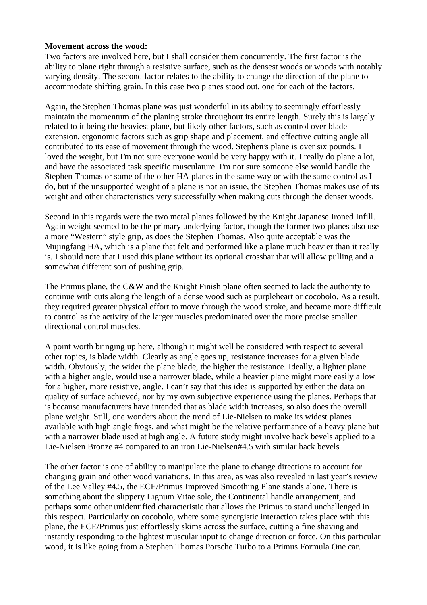#### **Movement across the wood:**

Two factors are involved here, but I shall consider them concurrently. The first factor is the ability to plane right through a resistive surface, such as the densest woods or woods with notably varying density. The second factor relates to the ability to change the direction of the plane to accommodate shifting grain. In this case two planes stood out, one for each of the factors.

Again, the Stephen Thomas plane was just wonderful in its ability to seemingly effortlessly maintain the momentum of the planing stroke throughout its entire length. Surely this is largely related to it being the heaviest plane, but likely other factors, such as control over blade extension, ergonomic factors such as grip shape and placement, and effective cutting angle all contributed to its ease of movement through the wood. Stephen's plane is over six pounds. I loved the weight, but I'm not sure everyone would be very happy with it. I really do plane a lot, and have the associated task specific musculature. I'm not sure someone else would handle the Stephen Thomas or some of the other HA planes in the same way or with the same control as I do, but if the unsupported weight of a plane is not an issue, the Stephen Thomas makes use of its weight and other characteristics very successfully when making cuts through the denser woods.

Second in this regards were the two metal planes followed by the Knight Japanese Ironed Infill. Again weight seemed to be the primary underlying factor, though the former two planes also use a more "Western" style grip, as does the Stephen Thomas. Also quite acceptable was the Mujingfang HA, which is a plane that felt and performed like a plane much heavier than it really is. I should note that I used this plane without its optional crossbar that will allow pulling and a somewhat different sort of pushing grip.

The Primus plane, the C&W and the Knight Finish plane often seemed to lack the authority to continue with cuts along the length of a dense wood such as purpleheart or cocobolo. As a result, they required greater physical effort to move through the wood stroke, and became more difficult to control as the activity of the larger muscles predominated over the more precise smaller directional control muscles.

A point worth bringing up here, although it might well be considered with respect to several other topics, is blade width. Clearly as angle goes up, resistance increases for a given blade width. Obviously, the wider the plane blade, the higher the resistance. Ideally, a lighter plane with a higher angle, would use a narrower blade, while a heavier plane might more easily allow for a higher, more resistive, angle. I can't say that this idea is supported by either the data on quality of surface achieved, nor by my own subjective experience using the planes. Perhaps that is because manufacturers have intended that as blade width increases, so also does the overall plane weight. Still, one wonders about the trend of Lie-Nielsen to make its widest planes available with high angle frogs, and what might be the relative performance of a heavy plane but with a narrower blade used at high angle. A future study might involve back bevels applied to a Lie-Nielsen Bronze #4 compared to an iron Lie-Nielsen#4.5 with similar back bevels

The other factor is one of ability to manipulate the plane to change directions to account for changing grain and other wood variations. In this area, as was also revealed in last year's review of the Lee Valley #4.5, the ECE/Primus Improved Smoothing Plane stands alone. There is something about the slippery Lignum Vitae sole, the Continental handle arrangement, and perhaps some other unidentified characteristic that allows the Primus to stand unchallenged in this respect. Particularly on cocobolo, where some synergistic interaction takes place with this plane, the ECE/Primus just effortlessly skims across the surface, cutting a fine shaving and instantly responding to the lightest muscular input to change direction or force. On this particular wood, it is like going from a Stephen Thomas Porsche Turbo to a Primus Formula One car.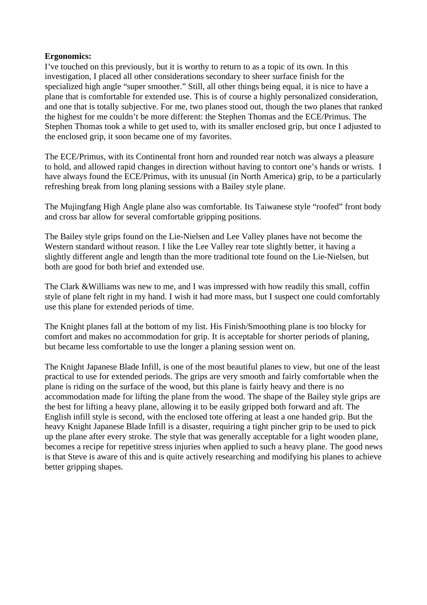#### **Ergonomics:**

I've touched on this previously, but it is worthy to return to as a topic of its own. In this investigation, I placed all other considerations secondary to sheer surface finish for the specialized high angle "super smoother." Still, all other things being equal, it is nice to have a plane that is comfortable for extended use. This is of course a highly personalized consideration, and one that is totally subjective. For me, two planes stood out, though the two planes that ranked the highest for me couldn't be more different: the Stephen Thomas and the ECE/Primus. The Stephen Thomas took a while to get used to, with its smaller enclosed grip, but once I adjusted to the enclosed grip, it soon became one of my favorites.

The ECE/Primus, with its Continental front horn and rounded rear notch was always a pleasure to hold, and allowed rapid changes in direction without having to contort one's hands or wrists. I have always found the ECE/Primus, with its unusual (in North America) grip, to be a particularly refreshing break from long planing sessions with a Bailey style plane.

The Mujingfang High Angle plane also was comfortable. Its Taiwanese style "roofed" front body and cross bar allow for several comfortable gripping positions.

The Bailey style grips found on the Lie-Nielsen and Lee Valley planes have not become the Western standard without reason. I like the Lee Valley rear tote slightly better, it having a slightly different angle and length than the more traditional tote found on the Lie-Nielsen, but both are good for both brief and extended use.

The Clark &Williams was new to me, and I was impressed with how readily this small, coffin style of plane felt right in my hand. I wish it had more mass, but I suspect one could comfortably use this plane for extended periods of time.

The Knight planes fall at the bottom of my list. His Finish/Smoothing plane is too blocky for comfort and makes no accommodation for grip. It is acceptable for shorter periods of planing, but became less comfortable to use the longer a planing session went on.

The Knight Japanese Blade Infill, is one of the most beautiful planes to view, but one of the least practical to use for extended periods. The grips are very smooth and fairly comfortable when the plane is riding on the surface of the wood, but this plane is fairly heavy and there is no accommodation made for lifting the plane from the wood. The shape of the Bailey style grips are the best for lifting a heavy plane, allowing it to be easily gripped both forward and aft. The English infill style is second, with the enclosed tote offering at least a one handed grip. But the heavy Knight Japanese Blade Infill is a disaster, requiring a tight pincher grip to be used to pick up the plane after every stroke. The style that was generally acceptable for a light wooden plane, becomes a recipe for repetitive stress injuries when applied to such a heavy plane. The good news is that Steve is aware of this and is quite actively researching and modifying his planes to achieve better gripping shapes.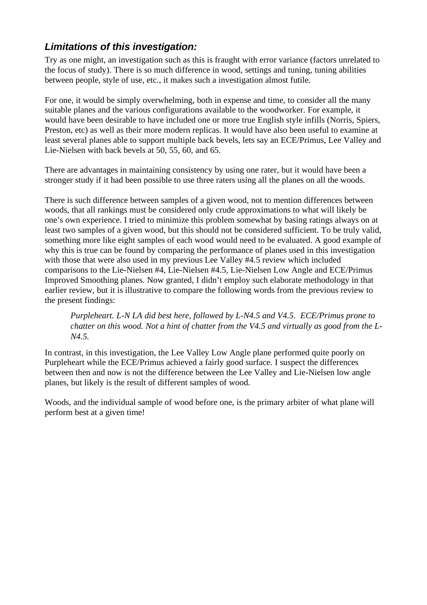## **Limitations of this investigation:**

Try as one might, an investigation such as this is fraught with error variance (factors unrelated to the focus of study). There is so much difference in wood, settings and tuning, tuning abilities between people, style of use, etc., it makes such a investigation almost futile.

For one, it would be simply overwhelming, both in expense and time, to consider all the many suitable planes and the various configurations available to the woodworker. For example, it would have been desirable to have included one or more true English style infills (Norris, Spiers, Preston, etc) as well as their more modern replicas. It would have also been useful to examine at least several planes able to support multiple back bevels, lets say an ECE/Primus, Lee Valley and Lie-Nielsen with back bevels at 50, 55, 60, and 65.

There are advantages in maintaining consistency by using one rater, but it would have been a stronger study if it had been possible to use three raters using all the planes on all the woods.

There is such difference between samples of a given wood, not to mention differences between woods, that all rankings must be considered only crude approximations to what will likely be one's own experience. I tried to minimize this problem somewhat by basing ratings always on at least two samples of a given wood, but this should not be considered sufficient. To be truly valid, something more like eight samples of each wood would need to be evaluated. A good example of why this is true can be found by comparing the performance of planes used in this investigation with those that were also used in my previous Lee Valley #4.5 review which included comparisons to the Lie-Nielsen #4, Lie-Nielsen #4.5, Lie-Nielsen Low Angle and ECE/Primus Improved Smoothing planes. Now granted, I didn't employ such elaborate methodology in that earlier review, but it is illustrative to compare the following words from the previous review to the present findings:

*Purpleheart. L-N LA did best here, followed by L-N4.5 and V4.5. ECE/Primus prone to* chatter on this wood. Not a hint of chatter from the V4.5 and virtually as good from the L-*N4.5.*

In contrast, in this investigation, the Lee Valley Low Angle plane performed quite poorly on Purpleheart while the ECE/Primus achieved a fairly good surface. I suspect the differences between then and now is not the difference between the Lee Valley and Lie-Nielsen low angle planes, but likely is the result of different samples of wood.

Woods, and the individual sample of wood before one, is the primary arbiter of what plane will perform best at a given time!